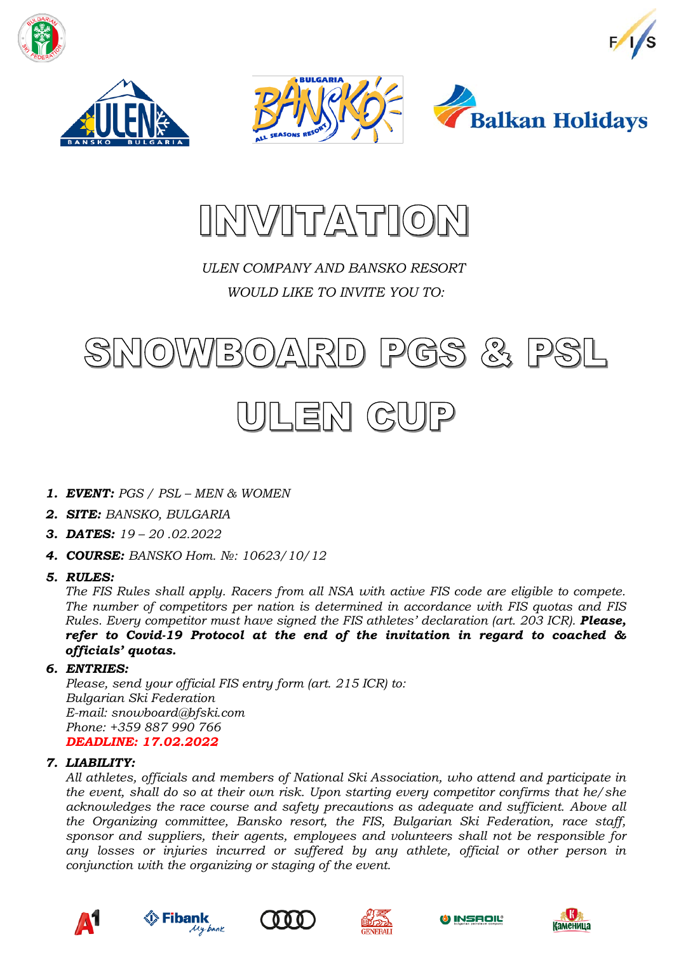







### *ULEN COMPANY AND BANSKO RESORT WOULD LIKE TO INVITE YOU TO:*





- *1. EVENT: PGS / PSL – MEN & WOMEN*
- *2. SITE: BANSKO, BULGARIA*
- *3. DATES: 19 – 20 .02.2022*
- *4. COURSE: BANSKO Hom. №: 10623/10/12*
- *5. RULES:*

*The FIS Rules shall apply. Racers from all NSA with active FIS code are eligible to compete. The number of competitors per nation is determined in accordance with FIS quotas and FIS Rules. Every competitor must have signed the FIS athletes' declaration (art. 203 ICR). Please, refer to Covid-19 Protocol at the end of the invitation in regard to coached & officials' quotas.*

#### *6. ENTRIES:*

*Please, send your official FIS entry form (art. 215 ICR) to: Bulgarian Ski Federation E-mail: snowboard@bfski.com Phone: +359 887 990 766 DEADLINE: 17.02.2022*

#### *7. LIABILITY:*

*All athletes, officials and members of National Ski Association, who attend and participate in the event, shall do so at their own risk. Upon starting every competitor confirms that he/she acknowledges the race course and safety precautions as adequate and sufficient. Above all the Organizing committee, Bansko resort, the FIS, Bulgarian Ski Federation, race staff, sponsor and suppliers, their agents, employees and volunteers shall not be responsible for any losses or injuries incurred or suffered by any athlete, official or other person in conjunction with the organizing or staging of the event.*









**INSAOIL** 

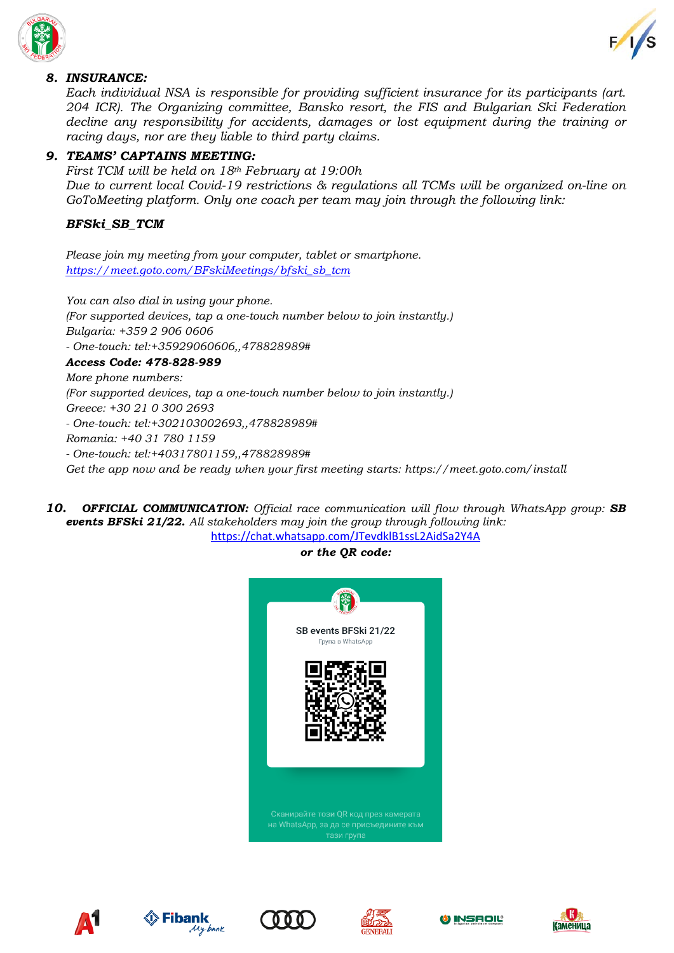



#### *8. INSURANCE:*

*Each individual NSA is responsible for providing sufficient insurance for its participants (art. 204 ICR). The Organizing committee, Bansko resort, the FIS and Bulgarian Ski Federation decline any responsibility for accidents, damages or lost equipment during the training or racing days, nor are they liable to third party claims.*

#### *9. TEAMS' CAPTAINS MEETING:*

*First TCM will be held on 18th February at 19:00h Due to current local Covid-19 restrictions & regulations all TCMs will be organized on-line on GoToMeeting platform. Only one coach per team may join through the following link:*

#### *BFSki\_SB\_TCM*

*Please join my meeting from your computer, tablet or smartphone. [https://meet.goto.com/BFskiMeetings/bfski\\_sb\\_tcm](https://meet.goto.com/BFskiMeetings/bfski_sb_tcm)*

*You can also dial in using your phone. (For supported devices, tap a one-touch number below to join instantly.) Bulgaria: +359 2 906 0606 - One-touch: tel:+35929060606,,478828989# Access Code: 478-828-989 More phone numbers: (For supported devices, tap a one-touch number below to join instantly.) Greece: +30 21 0 300 2693 - One-touch: tel:+302103002693,,478828989# Romania: +40 31 780 1159 - One-touch: tel:+40317801159,,478828989# Get the app now and be ready when your first meeting starts: https://meet.goto.com/install*

*10. OFFICIAL COMMUNICATION: Official race communication will flow through WhatsApp group: SB events BFSki 21/22. All stakeholders may join the group through following link:*

<https://chat.whatsapp.com/JTevdklB1ssL2AidSa2Y4A>

#### *or the QR code:*











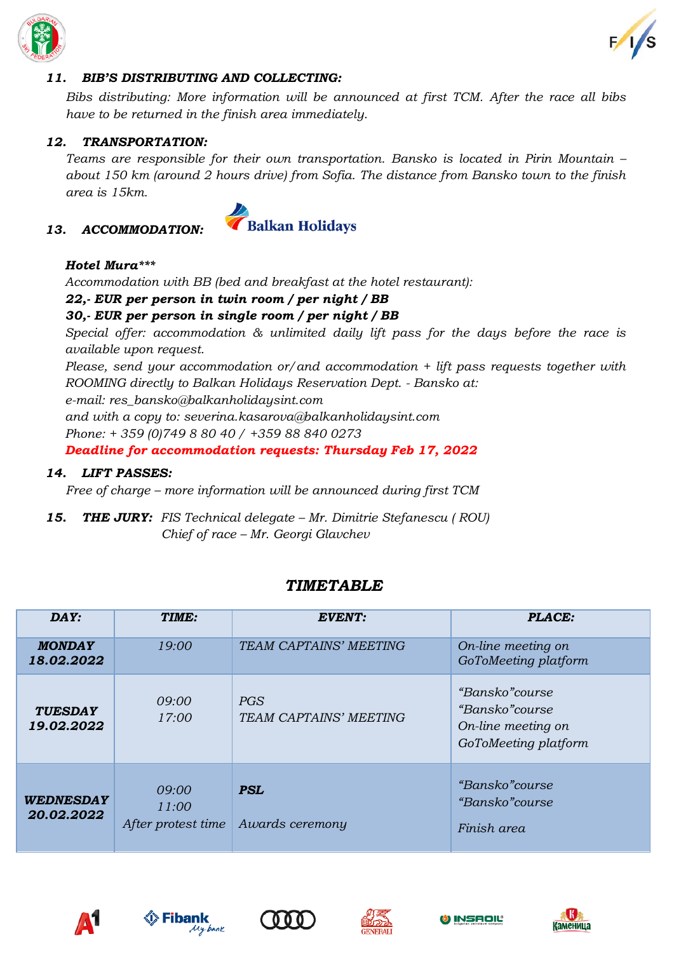



#### *11. BIB'S DISTRIBUTING AND COLLECTING:*

*Bibs distributing: More information will be announced at first TCM. After the race all bibs have to be returned in the finish area immediately.*

#### *12. TRANSPORTATION:*

*Teams are responsible for their own transportation. Bansko is located in Pirin Mountain – about 150 km (around 2 hours drive) from Sofia. The distance from Bansko town to the finish area is 15km.*

#### *13. ACCOMMODATION:*



#### *Hotel Mura\*\*\**

*Accommodation with BB (bed and breakfast at the hotel restaurant):*

#### *22,- EUR per person in twin room / per night / BB*

#### *30,- EUR per person in single room / per night / BB*

*Special offer: accommodation & unlimited daily lift pass for the days before the race is available upon request.*

*Please, send your accommodation or/and accommodation + lift pass requests together with ROOMING directly to Balkan Holidays Reservation Dept. - Bansko at:*

*e-mail: res\_bansko@balkanholidaysint.com*

*and with a copy to: severina.kasarova@balkanholidaysint.com*

*Phone: + 359 (0)749 8 80 40 / +359 88 840 0273*

*Deadline for accommodation requests: Thursday Feb 17, 2022*

#### *14. LIFT PASSES:*

*Free of charge – more information will be announced during first TCM*

*15. THE JURY: FIS Technical delegate – Mr. Dimitrie Stefanescu ( ROU) Chief of race – Mr. Georgi Glavchev*

#### *TIMETABLE*

| DAY:                           | TIME:                                | <b>EVENT:</b>                 | PLACE:                                                                                 |
|--------------------------------|--------------------------------------|-------------------------------|----------------------------------------------------------------------------------------|
| <b>MONDAY</b><br>18.02.2022    | 19:00                                | TEAM CAPTAINS' MEETING        | On-line meeting on<br>GoToMeeting platform                                             |
| <b>TUESDAY</b><br>19.02.2022   | 09:00<br>17:00                       | PGS<br>TEAM CAPTAINS' MEETING | <i>"Bansko"course</i><br>"Bansko" course<br>On-line meeting on<br>GoToMeeting platform |
| <b>WEDNESDAY</b><br>20.02.2022 | 09:00<br>11:00<br>After protest time | <b>PSL</b><br>Awards ceremony | <i>"Bansko"course</i><br>"Bansko" course<br>Finish area                                |